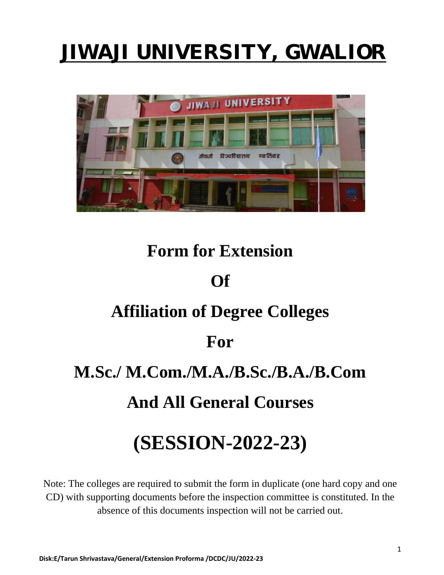# JIWAJI UNIVERSITY, GWALIOR



# **Form for Extension**

### **Of**

### **Affiliation of Degree Colleges**

### **For**

## **M.Sc./ M.Com./M.A./B.Sc./B.A./B.Com**

## **And All General Courses**

# **(SESSION-2022-23)**

Note: The colleges are required to submit the form in duplicate (one hard copy and one CD) with supporting documents before the inspection committee is constituted. In the absence of this documents inspection will not be carried out.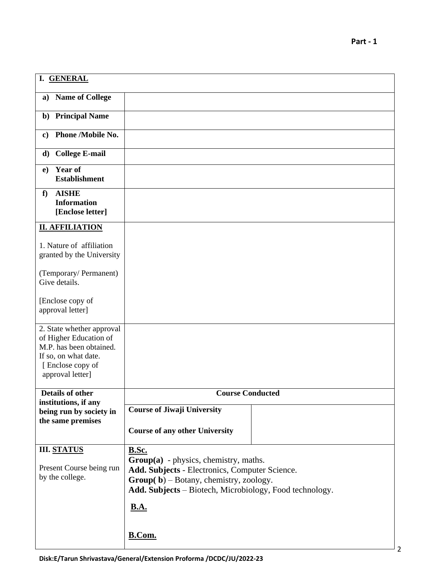| I. GENERAL                                                                                                                                     |                                                                                           |
|------------------------------------------------------------------------------------------------------------------------------------------------|-------------------------------------------------------------------------------------------|
| <b>Name of College</b><br>a)                                                                                                                   |                                                                                           |
| b) Principal Name                                                                                                                              |                                                                                           |
| Phone /Mobile No.<br>$\mathbf{c}$                                                                                                              |                                                                                           |
| <b>College E-mail</b><br>d)                                                                                                                    |                                                                                           |
| Year of<br>e)<br><b>Establishment</b>                                                                                                          |                                                                                           |
| <b>AISHE</b><br>f<br><b>Information</b><br>[Enclose letter]                                                                                    |                                                                                           |
| <b>II. AFFILIATION</b>                                                                                                                         |                                                                                           |
| 1. Nature of affiliation<br>granted by the University                                                                                          |                                                                                           |
| (Temporary/Permanent)<br>Give details.                                                                                                         |                                                                                           |
| [Enclose copy of<br>approval letter]                                                                                                           |                                                                                           |
| 2. State whether approval<br>of Higher Education of<br>M.P. has been obtained.<br>If so, on what date.<br>[Enclose copy of<br>approval letter] |                                                                                           |
| Details of other                                                                                                                               | <b>Course Conducted</b>                                                                   |
| institutions, if any<br>being run by society in                                                                                                | <b>Course of Jiwaji University</b>                                                        |
| the same premises                                                                                                                              | <b>Course of any other University</b>                                                     |
| <b>III. STATUS</b>                                                                                                                             | <b>B.Sc.</b>                                                                              |
| Present Course being run                                                                                                                       | $Group(a)$ - physics, chemistry, maths.<br>Add. Subjects - Electronics, Computer Science. |
| by the college.                                                                                                                                | $Group(b)-Botany, chemistry, zoology.$                                                    |
|                                                                                                                                                | Add. Subjects - Biotech, Microbiology, Food technology.                                   |
|                                                                                                                                                | <b>B.A.</b>                                                                               |
|                                                                                                                                                | B.Com.                                                                                    |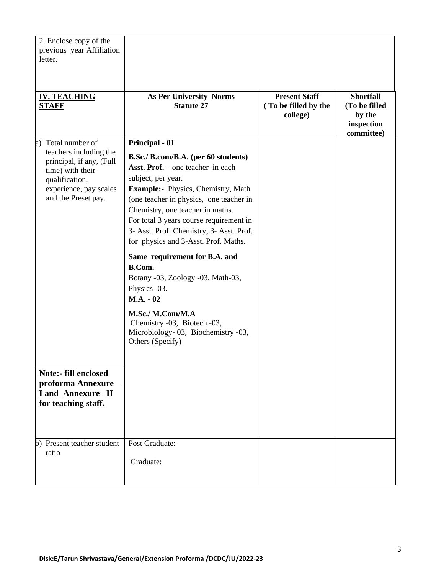| 2. Enclose copy of the<br>previous year Affiliation<br>letter.                                                                                                                                                                                                    |                                                                                                                                                                                                                                                                                                                                                                                                                                                                                                                                                                                                         |                                                          |                                                                         |
|-------------------------------------------------------------------------------------------------------------------------------------------------------------------------------------------------------------------------------------------------------------------|---------------------------------------------------------------------------------------------------------------------------------------------------------------------------------------------------------------------------------------------------------------------------------------------------------------------------------------------------------------------------------------------------------------------------------------------------------------------------------------------------------------------------------------------------------------------------------------------------------|----------------------------------------------------------|-------------------------------------------------------------------------|
| <b>IV. TEACHING</b><br><b>STAFF</b>                                                                                                                                                                                                                               | <b>As Per University Norms</b><br><b>Statute 27</b>                                                                                                                                                                                                                                                                                                                                                                                                                                                                                                                                                     | <b>Present Staff</b><br>(To be filled by the<br>college) | <b>Shortfall</b><br>(To be filled<br>by the<br>inspection<br>committee) |
| a) Total number of<br>teachers including the<br>principal, if any, (Full<br>time) with their<br>qualification,<br>experience, pay scales<br>and the Preset pay.<br><b>Note:- fill enclosed</b><br>proforma Annexure-<br>I and Annexure -II<br>for teaching staff. | Principal - 01<br>B.Sc./ B.com/B.A. (per 60 students)<br><b>Asst. Prof.</b> – one teacher in each<br>subject, per year.<br>Example:- Physics, Chemistry, Math<br>(one teacher in physics, one teacher in<br>Chemistry, one teacher in maths.<br>For total 3 years course requirement in<br>3- Asst. Prof. Chemistry, 3- Asst. Prof.<br>for physics and 3-Asst. Prof. Maths.<br>Same requirement for B.A. and<br>B.Com.<br>Botany -03, Zoology -03, Math-03,<br>Physics -03.<br>$M.A. - 02$<br>M.Sc./ M.Com/M.A<br>Chemistry -03, Biotech -03,<br>Microbiology-03, Biochemistry -03,<br>Others (Specify) |                                                          |                                                                         |
|                                                                                                                                                                                                                                                                   |                                                                                                                                                                                                                                                                                                                                                                                                                                                                                                                                                                                                         |                                                          |                                                                         |
| b) Present teacher student<br>ratio                                                                                                                                                                                                                               | Post Graduate:<br>Graduate:                                                                                                                                                                                                                                                                                                                                                                                                                                                                                                                                                                             |                                                          |                                                                         |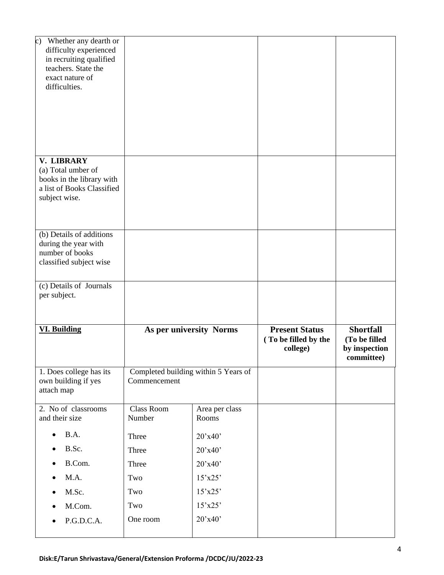| Whether any dearth or<br>$\circ$ )<br>difficulty experienced<br>in recruiting qualified<br>teachers. State the<br>exact nature of<br>difficulties. |                      |                                      |                                                           |                                                                  |
|----------------------------------------------------------------------------------------------------------------------------------------------------|----------------------|--------------------------------------|-----------------------------------------------------------|------------------------------------------------------------------|
| V. LIBRARY<br>(a) Total umber of<br>books in the library with<br>a list of Books Classified<br>subject wise.                                       |                      |                                      |                                                           |                                                                  |
| (b) Details of additions<br>during the year with<br>number of books<br>classified subject wise                                                     |                      |                                      |                                                           |                                                                  |
| (c) Details of Journals<br>per subject.                                                                                                            |                      |                                      |                                                           |                                                                  |
| <b>VI. Building</b>                                                                                                                                |                      | As per university Norms              | <b>Present Status</b><br>(To be filled by the<br>college) | <b>Shortfall</b><br>(To be filled<br>by inspection<br>committee) |
| 1. Does college has its<br>own building if yes<br>attach map                                                                                       | Commencement         | Completed building within 5 Years of |                                                           |                                                                  |
| 2. No of classrooms<br>and their size                                                                                                              | Class Room<br>Number | Area per class<br>Rooms              |                                                           |                                                                  |
| B.A.                                                                                                                                               | Three                | 20'x40'                              |                                                           |                                                                  |
| B.Sc.                                                                                                                                              |                      |                                      |                                                           |                                                                  |
|                                                                                                                                                    | Three                | 20'x40'                              |                                                           |                                                                  |
| B.Com.                                                                                                                                             | Three                | 20'x40'                              |                                                           |                                                                  |
| M.A.                                                                                                                                               | Two                  | $15'$ x25'                           |                                                           |                                                                  |
| M.Sc.                                                                                                                                              | Two                  | $15'$ x25'                           |                                                           |                                                                  |
| M.Com.<br>P.G.D.C.A.                                                                                                                               | Two<br>One room      | $15'$ x25'<br>20'x40'                |                                                           |                                                                  |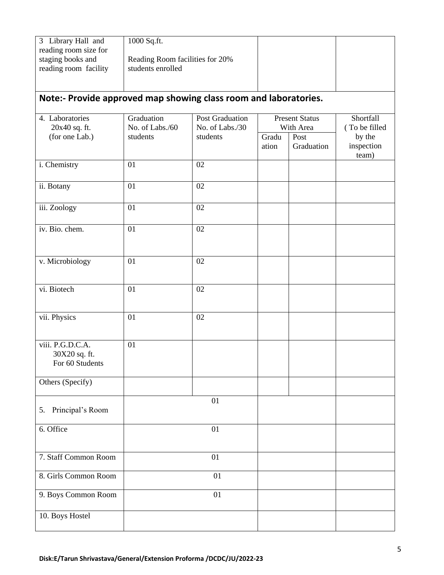| 3 Library Hall and<br>reading room size for                      | 1000 Sq.ft.                                          |                                           |                                    |                            |                               |  |
|------------------------------------------------------------------|------------------------------------------------------|-------------------------------------------|------------------------------------|----------------------------|-------------------------------|--|
| staging books and<br>reading room facility                       | Reading Room facilities for 20%<br>students enrolled |                                           |                                    |                            |                               |  |
| Note:- Provide approved map showing class room and laboratories. |                                                      |                                           |                                    |                            |                               |  |
| 4. Laboratories<br>20x40 sq. ft.                                 | Graduation<br>No. of Labs./60                        | <b>Post Graduation</b><br>No. of Labs./30 | <b>Present Status</b><br>With Area | Shortfall<br>(To be filled |                               |  |
| (for one Lab.)                                                   | students                                             | students                                  | Gradu<br>ation                     | Post<br>Graduation         | by the<br>inspection<br>team) |  |
| i. Chemistry                                                     | 01                                                   | 02                                        |                                    |                            |                               |  |
| ii. Botany                                                       | 01                                                   | 02                                        |                                    |                            |                               |  |
| iii. Zoology                                                     | 01                                                   | 02                                        |                                    |                            |                               |  |
| iv. Bio. chem.                                                   | 01                                                   | 02                                        |                                    |                            |                               |  |
| v. Microbiology                                                  | 01                                                   | 02                                        |                                    |                            |                               |  |
| vi. Biotech                                                      | 01                                                   | 02                                        |                                    |                            |                               |  |
| vii. Physics                                                     | 01                                                   | 02                                        |                                    |                            |                               |  |
| viii. P.G.D.C.A.<br>30X20 sq. ft.<br>For 60 Students             | 01                                                   |                                           |                                    |                            |                               |  |
| Others (Specify)                                                 |                                                      |                                           |                                    |                            |                               |  |
| Principal's Room<br>5.                                           |                                                      | 01                                        |                                    |                            |                               |  |
| 6. Office                                                        |                                                      | 01                                        |                                    |                            |                               |  |
| 7. Staff Common Room                                             |                                                      | 01                                        |                                    |                            |                               |  |
| 8. Girls Common Room                                             |                                                      | 01                                        |                                    |                            |                               |  |
| 9. Boys Common Room                                              |                                                      | 01                                        |                                    |                            |                               |  |
| 10. Boys Hostel                                                  |                                                      |                                           |                                    |                            |                               |  |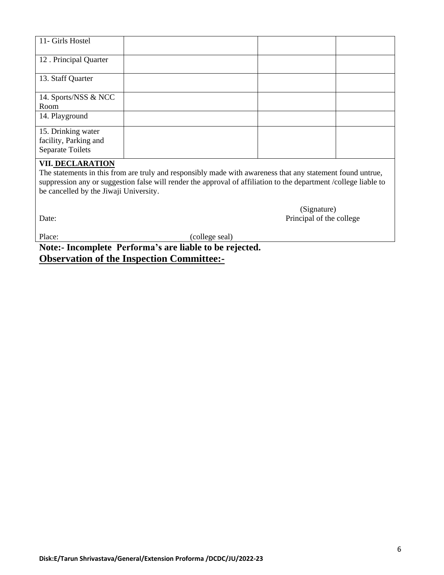| 11- Girls Hostel                                                       |  |  |
|------------------------------------------------------------------------|--|--|
| 12. Principal Quarter                                                  |  |  |
| 13. Staff Quarter                                                      |  |  |
| 14. Sports/NSS & NCC<br>Room                                           |  |  |
| 14. Playground                                                         |  |  |
| 15. Drinking water<br>facility, Parking and<br><b>Separate Toilets</b> |  |  |

#### **VII. DECLARATION**

The statements in this from are truly and responsibly made with awareness that any statement found untrue, suppression any or suggestion false will render the approval of affiliation to the department /college liable to be cancelled by the Jiwaji University.

 (Signature) Date: Principal of the college

Place: (college seal)

**Note:- Incomplete Performa's are liable to be rejected. Observation of the Inspection Committee:-**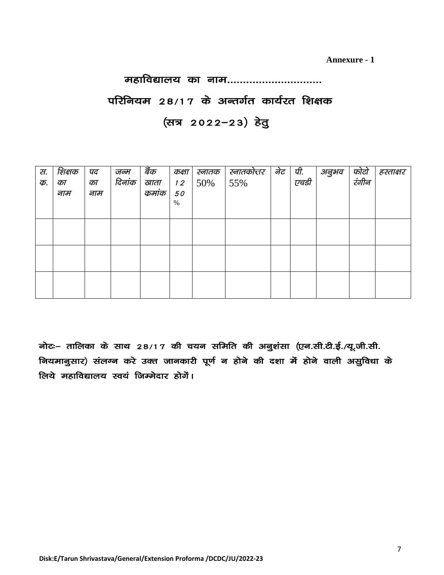**Annexure - 1**

#### महाविद्यालय का नाम..............................

परिनियम 28/17 के अन्तर्गत कार्यरत शिक्षक (सत्र 2022-23) हेतु

| स. | शिक्षक | पद  | जन्म   | बैंक   | कक्षा | स्नातक | स्नातकोत्तर | नेट | पी.  | अनुभव | फोटो<br>रंगीन | हस्ताक्षर |
|----|--------|-----|--------|--------|-------|--------|-------------|-----|------|-------|---------------|-----------|
| क. | का     | का  | दिनांक | खाता   | 12    | 50%    | 55%         |     | एचडी |       |               |           |
|    | नाम    | नाम |        | कुमांक | 50    |        |             |     |      |       |               |           |
|    |        |     |        |        | %     |        |             |     |      |       |               |           |
|    |        |     |        |        |       |        |             |     |      |       |               |           |
|    |        |     |        |        |       |        |             |     |      |       |               |           |
|    |        |     |        |        |       |        |             |     |      |       |               |           |
|    |        |     |        |        |       |        |             |     |      |       |               |           |
|    |        |     |        |        |       |        |             |     |      |       |               |           |
|    |        |     |        |        |       |        |             |     |      |       |               |           |
|    |        |     |        |        |       |        |             |     |      |       |               |           |
|    |        |     |        |        |       |        |             |     |      |       |               |           |
|    |        |     |        |        |       |        |             |     |      |       |               |           |

नोटः– तालिका के साथ 28/17 की चयन समिति की अनुशंसा (एन.सी.टी.ई./यू.जी.सी. नियमानुसार) संलग्न करे उक्त जानकारी पूर्ण न होने की दशा में होने वाली असुविधा के लिये महाविद्यालय स्वयं जिम्मेदार होर्गे।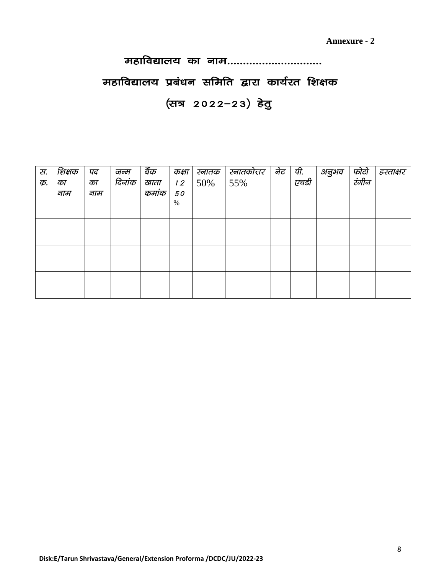### महाविद्यालय का नाम..............................

### महाविद्यालय प्रबंधन समिति द्वारा कार्यरत शिक्षक

### (सत्र 2022-23) हेतु

| स.<br>क्र. | शिक्षक<br>का<br>नाम | पद<br>का<br>नाम | जन्म<br>दिनांक | बैंक<br>खाता<br>कुमांक | कक्षा<br>12<br>50<br>% | स्नातक<br>50% | स्नातकोत्तर<br>55% | नेट | पी.<br>एचडी | अनुभव | फोटो<br>रंगीन | हस्ताक्षर |
|------------|---------------------|-----------------|----------------|------------------------|------------------------|---------------|--------------------|-----|-------------|-------|---------------|-----------|
|            |                     |                 |                |                        |                        |               |                    |     |             |       |               |           |
|            |                     |                 |                |                        |                        |               |                    |     |             |       |               |           |
|            |                     |                 |                |                        |                        |               |                    |     |             |       |               |           |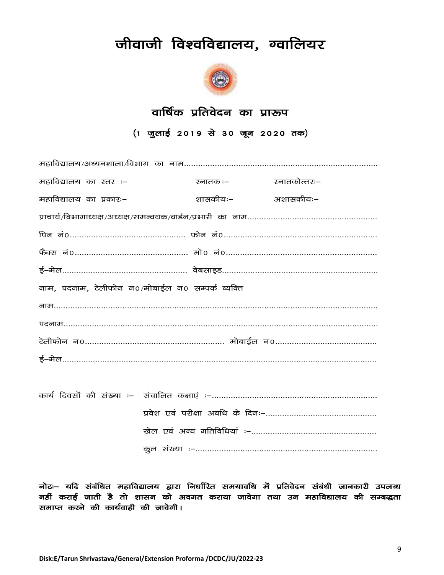### जीवाजी विश्वविद्यालय, ग्वालियर



### वार्षिक प्रतिवेदन का प्रारूप

(1 जुलाई 2019 से 30 जून 2020 तक)

| महाविद्यालय का स्तर :-                           | स्नातक :– | स्नातकोत्तरः– |
|--------------------------------------------------|-----------|---------------|
| महाविद्यालय का प्रकारः–                          | शासकीयः–  | अशासकीयः–     |
|                                                  |           |               |
|                                                  |           |               |
|                                                  |           |               |
|                                                  |           |               |
| नाम, पदनाम, टेलीफोन न0/मोबाईल न0 सम्पर्क व्यक्ति |           |               |
|                                                  |           |               |
|                                                  |           |               |
|                                                  |           |               |
|                                                  |           |               |
|                                                  |           |               |
|                                                  |           |               |
|                                                  |           |               |
|                                                  |           |               |

नोटः– यदि संबंधित महाविद्यालय द्वारा निर्धारित समयावधि में प्रतिवेदन संबंधी जानकारी उपलब्ध नहीं कराई जाती है तो शासन को अवगत कराया जावेगा तथा उन महाविद्यालय की सम्बद्धता समाप्त करने की कार्यवाही की जावेगी।